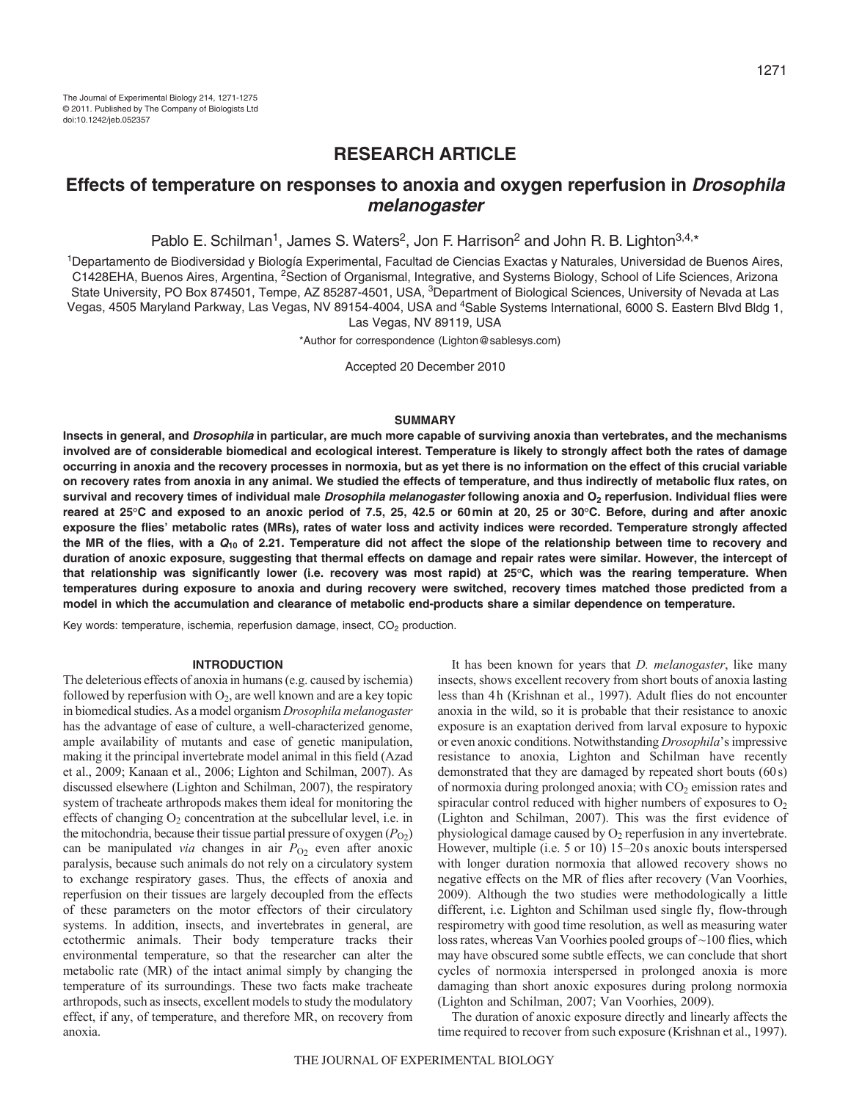# **RESEARCH ARTICLE**

# **Effects of temperature on responses to anoxia and oxygen reperfusion in Drosophila melanogaster**

Pablo E. Schilman<sup>1</sup>, James S. Waters<sup>2</sup>, Jon F. Harrison<sup>2</sup> and John R. B. Lighton<sup>3,4,\*</sup>

1Departamento de Biodiversidad y Biología Experimental, Facultad de Ciencias Exactas y Naturales, Universidad de Buenos Aires, C1428EHA, Buenos Aires, Argentina, 2Section of Organismal, Integrative, and Systems Biology, School of Life Sciences, Arizona State University, PO Box 874501, Tempe, AZ 85287-4501, USA, <sup>3</sup>Department of Biological Sciences, University of Nevada at Las Vegas, 4505 Maryland Parkway, Las Vegas, NV 89154-4004, USA and <sup>4</sup>Sable Systems International, 6000 S. Eastern Blvd Bldg 1, Las Vegas, NV 89119, USA

\*Author for correspondence (Lighton@sablesys.com)

Accepted 20 December 2010

### **SUMMARY**

**Insects in general, and Drosophila in particular, are much more capable of surviving anoxia than vertebrates, and the mechanisms involved are of considerable biomedical and ecological interest. Temperature is likely to strongly affect both the rates of damage occurring in anoxia and the recovery processes in normoxia, but as yet there is no information on the effect of this crucial variable on recovery rates from anoxia in any animal. We studied the effects of temperature, and thus indirectly of metabolic flux rates, on survival and recovery times of individual male Drosophila melanogaster following anoxia and O2 reperfusion. Individual flies were reared at 25°C and exposed to an anoxic period of 7.5, 25, 42.5 or 60min at 20, 25 or 30°C. Before, during and after anoxic exposure the flies' metabolic rates (MRs), rates of water loss and activity indices were recorded. Temperature strongly affected the MR of the flies, with a Q<sup>10</sup> of 2.21. Temperature did not affect the slope of the relationship between time to recovery and duration of anoxic exposure, suggesting that thermal effects on damage and repair rates were similar. However, the intercept of that relationship was significantly lower (i.e. recovery was most rapid) at 25°C, which was the rearing temperature. When temperatures during exposure to anoxia and during recovery were switched, recovery times matched those predicted from a model in which the accumulation and clearance of metabolic end-products share a similar dependence on temperature.**

Key words: temperature, ischemia, reperfusion damage, insect, CO<sub>2</sub> production.

### **INTRODUCTION**

The deleterious effects of anoxia in humans (e.g. caused by ischemia) followed by reperfusion with  $O_2$ , are well known and are a key topic in biomedical studies. As a model organism *Drosophila melanogaster* has the advantage of ease of culture, a well-characterized genome, ample availability of mutants and ease of genetic manipulation, making it the principal invertebrate model animal in this field (Azad et al., 2009; Kanaan et al., 2006; Lighton and Schilman, 2007). As discussed elsewhere (Lighton and Schilman, 2007), the respiratory system of tracheate arthropods makes them ideal for monitoring the effects of changing  $O_2$  concentration at the subcellular level, i.e. in the mitochondria, because their tissue partial pressure of oxygen  $(P<sub>O2</sub>)$ can be manipulated *via* changes in air  $P_{O2}$  even after anoxic paralysis, because such animals do not rely on a circulatory system to exchange respiratory gases. Thus, the effects of anoxia and reperfusion on their tissues are largely decoupled from the effects of these parameters on the motor effectors of their circulatory systems. In addition, insects, and invertebrates in general, are ectothermic animals. Their body temperature tracks their environmental temperature, so that the researcher can alter the metabolic rate (MR) of the intact animal simply by changing the temperature of its surroundings. These two facts make tracheate arthropods, such as insects, excellent models to study the modulatory effect, if any, of temperature, and therefore MR, on recovery from anoxia.

It has been known for years that *D. melanogaster*, like many insects, shows excellent recovery from short bouts of anoxia lasting less than 4h (Krishnan et al., 1997). Adult flies do not encounter anoxia in the wild, so it is probable that their resistance to anoxic exposure is an exaptation derived from larval exposure to hypoxic or even anoxic conditions. Notwithstanding *Drosophila*'s impressive resistance to anoxia, Lighton and Schilman have recently demonstrated that they are damaged by repeated short bouts (60s) of normoxia during prolonged anoxia; with  $CO<sub>2</sub>$  emission rates and spiracular control reduced with higher numbers of exposures to  $O<sub>2</sub>$ (Lighton and Schilman, 2007). This was the first evidence of physiological damage caused by  $O_2$  reperfusion in any invertebrate. However, multiple (i.e. 5 or 10) 15–20s anoxic bouts interspersed with longer duration normoxia that allowed recovery shows no negative effects on the MR of flies after recovery (Van Voorhies, 2009). Although the two studies were methodologically a little different, i.e. Lighton and Schilman used single fly, flow-through respirometry with good time resolution, as well as measuring water loss rates, whereas Van Voorhies pooled groups of *~*100 flies, which may have obscured some subtle effects, we can conclude that short cycles of normoxia interspersed in prolonged anoxia is more damaging than short anoxic exposures during prolong normoxia (Lighton and Schilman, 2007; Van Voorhies, 2009).

The duration of anoxic exposure directly and linearly affects the time required to recover from such exposure (Krishnan et al., 1997).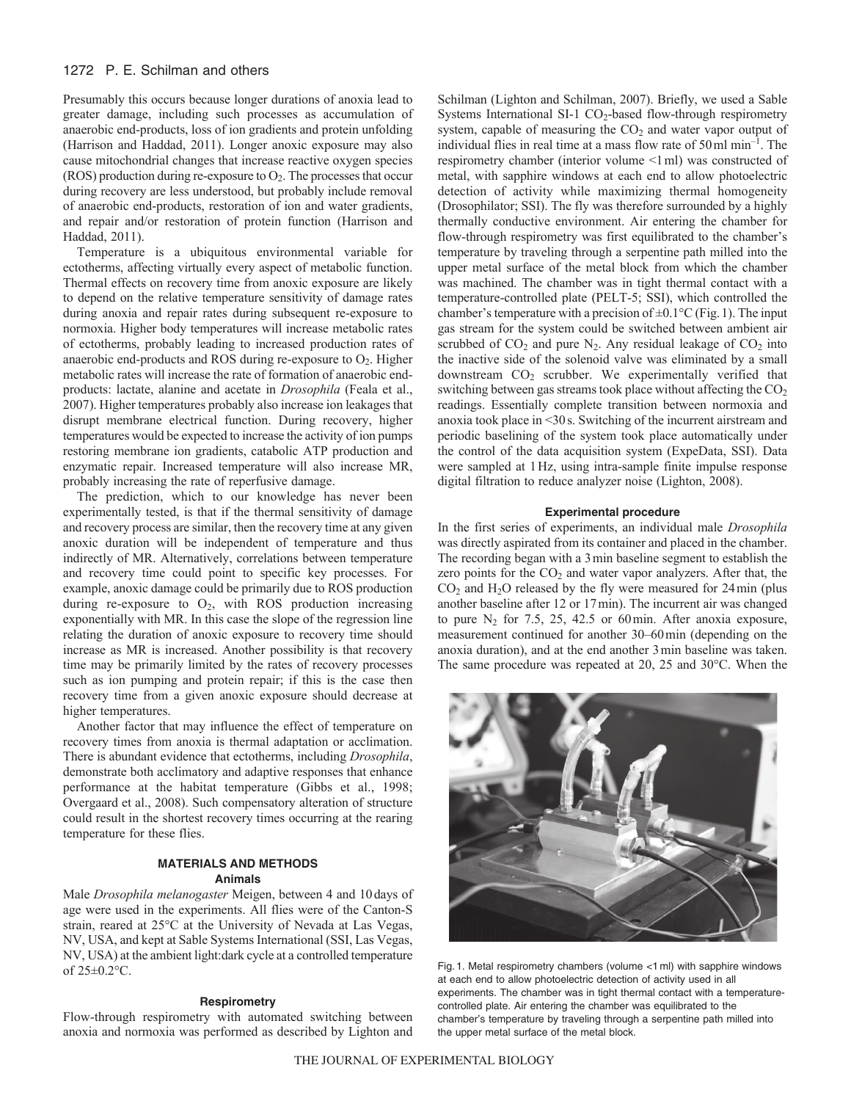# 1272 P. E. Schilman and others

Presumably this occurs because longer durations of anoxia lead to greater damage, including such processes as accumulation of anaerobic end-products, loss of ion gradients and protein unfolding (Harrison and Haddad, 2011). Longer anoxic exposure may also cause mitochondrial changes that increase reactive oxygen species (ROS) production during re-exposure to  $O_2$ . The processes that occur during recovery are less understood, but probably include removal of anaerobic end-products, restoration of ion and water gradients, and repair and/or restoration of protein function (Harrison and Haddad, 2011).

Temperature is a ubiquitous environmental variable for ectotherms, affecting virtually every aspect of metabolic function. Thermal effects on recovery time from anoxic exposure are likely to depend on the relative temperature sensitivity of damage rates during anoxia and repair rates during subsequent re-exposure to normoxia. Higher body temperatures will increase metabolic rates of ectotherms, probably leading to increased production rates of anaerobic end-products and ROS during re-exposure to  $O_2$ . Higher metabolic rates will increase the rate of formation of anaerobic endproducts: lactate, alanine and acetate in *Drosophila* (Feala et al., 2007). Higher temperatures probably also increase ion leakages that disrupt membrane electrical function. During recovery, higher temperatures would be expected to increase the activity of ion pumps restoring membrane ion gradients, catabolic ATP production and enzymatic repair. Increased temperature will also increase MR, probably increasing the rate of reperfusive damage.

The prediction, which to our knowledge has never been experimentally tested, is that if the thermal sensitivity of damage and recovery process are similar, then the recovery time at any given anoxic duration will be independent of temperature and thus indirectly of MR. Alternatively, correlations between temperature and recovery time could point to specific key processes. For example, anoxic damage could be primarily due to ROS production during re-exposure to  $O_2$ , with ROS production increasing exponentially with MR. In this case the slope of the regression line relating the duration of anoxic exposure to recovery time should increase as MR is increased. Another possibility is that recovery time may be primarily limited by the rates of recovery processes such as ion pumping and protein repair; if this is the case then recovery time from a given anoxic exposure should decrease at higher temperatures.

Another factor that may influence the effect of temperature on recovery times from anoxia is thermal adaptation or acclimation. There is abundant evidence that ectotherms, including *Drosophila*, demonstrate both acclimatory and adaptive responses that enhance performance at the habitat temperature (Gibbs et al., 1998; Overgaard et al., 2008). Such compensatory alteration of structure could result in the shortest recovery times occurring at the rearing temperature for these flies.

## **MATERIALS AND METHODS Animals**

Male *Drosophila melanogaster* Meigen, between 4 and 10days of age were used in the experiments. All flies were of the Canton-S strain, reared at 25°C at the University of Nevada at Las Vegas, NV, USA, and kept at Sable Systems International (SSI, Las Vegas, NV, USA) at the ambient light:dark cycle at a controlled temperature of 25±0.2°C.

## **Respirometry**

Flow-through respirometry with automated switching between anoxia and normoxia was performed as described by Lighton and Schilman (Lighton and Schilman, 2007). Briefly, we used a Sable Systems International SI-1 CO<sub>2</sub>-based flow-through respirometry system, capable of measuring the  $CO<sub>2</sub>$  and water vapor output of individual flies in real time at a mass flow rate of 50ml min–1. The respirometry chamber (interior volume <1ml) was constructed of metal, with sapphire windows at each end to allow photoelectric detection of activity while maximizing thermal homogeneity (Drosophilator; SSI). The fly was therefore surrounded by a highly thermally conductive environment. Air entering the chamber for flow-through respirometry was first equilibrated to the chamber's temperature by traveling through a serpentine path milled into the upper metal surface of the metal block from which the chamber was machined. The chamber was in tight thermal contact with a temperature-controlled plate (PELT-5; SSI), which controlled the chamber's temperature with a precision of  $\pm 0.1$ °C (Fig. 1). The input gas stream for the system could be switched between ambient air scrubbed of  $CO_2$  and pure N<sub>2</sub>. Any residual leakage of  $CO_2$  into the inactive side of the solenoid valve was eliminated by a small downstream CO<sub>2</sub> scrubber. We experimentally verified that switching between gas streams took place without affecting the  $CO<sub>2</sub>$ readings. Essentially complete transition between normoxia and anoxia took place in <30s. Switching of the incurrent airstream and periodic baselining of the system took place automatically under the control of the data acquisition system (ExpeData, SSI). Data were sampled at 1Hz, using intra-sample finite impulse response digital filtration to reduce analyzer noise (Lighton, 2008).

## **Experimental procedure**

In the first series of experiments, an individual male *Drosophila* was directly aspirated from its container and placed in the chamber. The recording began with a 3min baseline segment to establish the zero points for the  $CO<sub>2</sub>$  and water vapor analyzers. After that, the  $CO<sub>2</sub>$  and H<sub>2</sub>O released by the fly were measured for 24 min (plus another baseline after 12 or 17min). The incurrent air was changed to pure  $N_2$  for 7.5, 25, 42.5 or 60 min. After anoxia exposure, measurement continued for another 30–60min (depending on the anoxia duration), and at the end another 3min baseline was taken. The same procedure was repeated at 20, 25 and 30°C. When the



Fig. 1. Metal respirometry chambers (volume <1 ml) with sapphire windows at each end to allow photoelectric detection of activity used in all experiments. The chamber was in tight thermal contact with a temperaturecontrolled plate. Air entering the chamber was equilibrated to the chamber's temperature by traveling through a serpentine path milled into the upper metal surface of the metal block.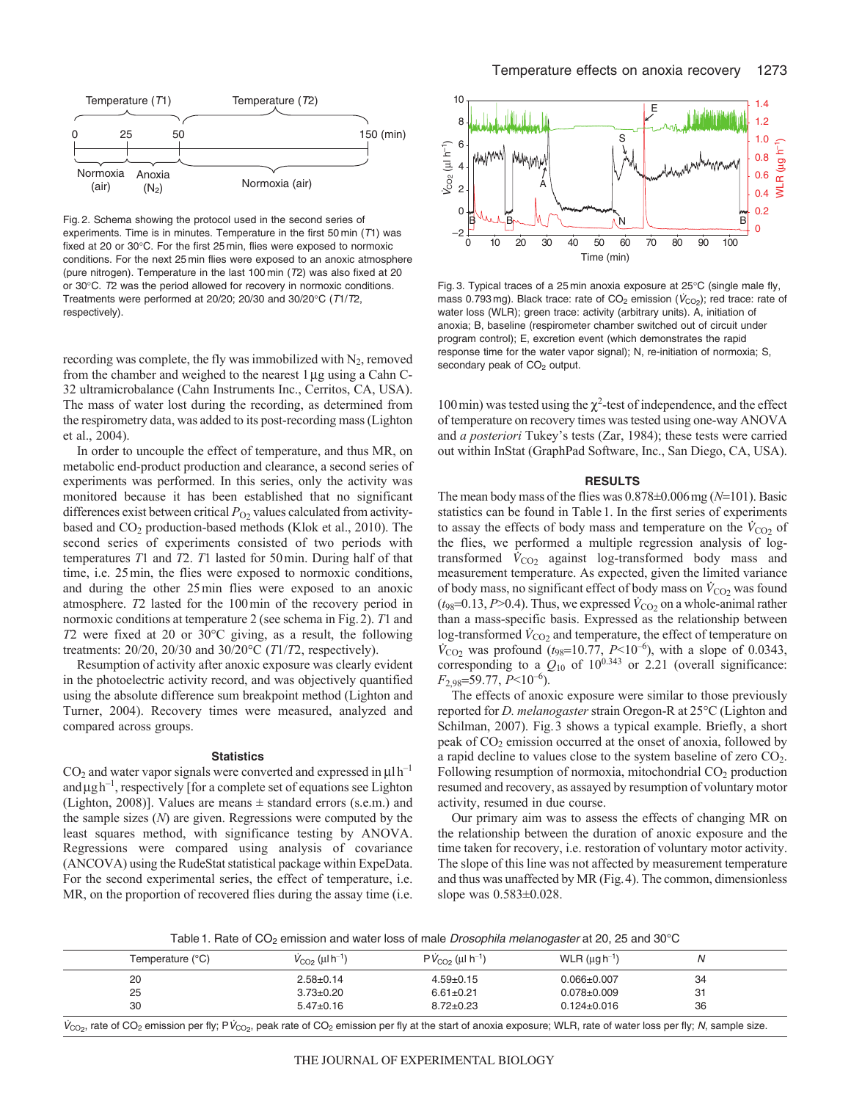

Fig. 2. Schema showing the protocol used in the second series of experiments. Time is in minutes. Temperature in the first 50 min (T1) was fixed at 20 or 30°C. For the first 25 min, flies were exposed to normoxic conditions. For the next 25 min flies were exposed to an anoxic atmosphere (pure nitrogen). Temperature in the last 100 min (T2) was also fixed at 20 or 30°C. T2 was the period allowed for recovery in normoxic conditions. Treatments were performed at 20/20; 20/30 and 30/20°C (T1/T2, respectively).

recording was complete, the fly was immobilized with  $N_2$ , removed from the chamber and weighed to the nearest  $1 \mu$ g using a Cahn C-32 ultramicrobalance (Cahn Instruments Inc., Cerritos, CA, USA). The mass of water lost during the recording, as determined from the respirometry data, was added to its post-recording mass (Lighton et al., 2004).

In order to uncouple the effect of temperature, and thus MR, on metabolic end-product production and clearance, a second series of experiments was performed. In this series, only the activity was monitored because it has been established that no significant differences exist between critical  $P_{O_2}$  values calculated from activitybased and CO<sub>2</sub> production-based methods (Klok et al., 2010). The second series of experiments consisted of two periods with temperatures *T*1 and *T*2. *T*1 lasted for 50min. During half of that time, i.e. 25min, the flies were exposed to normoxic conditions, and during the other 25min flies were exposed to an anoxic atmosphere. *T*2 lasted for the 100min of the recovery period in normoxic conditions at temperature 2 (see schema in Fig.2). *T*1 and *T*2 were fixed at 20 or 30°C giving, as a result, the following treatments: 20/20, 20/30 and 30/20°C (*T*1/*T*2, respectively).

Resumption of activity after anoxic exposure was clearly evident in the photoelectric activity record, and was objectively quantified using the absolute difference sum breakpoint method (Lighton and Turner, 2004). Recovery times were measured, analyzed and compared across groups.

#### **Statistics**

 $CO<sub>2</sub>$  and water vapor signals were converted and expressed in  $\mu$ lh<sup>-1</sup> and  $\mu$ gh<sup>-1</sup>, respectively [for a complete set of equations see Lighton (Lighton, 2008)]. Values are means  $\pm$  standard errors (s.e.m.) and the sample sizes (*N*) are given. Regressions were computed by the least squares method, with significance testing by ANOVA. Regressions were compared using analysis of covariance (ANCOVA) using the RudeStat statistical package within ExpeData. For the second experimental series, the effect of temperature, i.e. MR, on the proportion of recovered flies during the assay time (i.e.



Fig. 3. Typical traces of a 25 min anoxia exposure at 25°C (single male fly, mass 0.793 mg). Black trace: rate of CO<sub>2</sub> emission ( $\dot{V}_{CO_2}$ ); red trace: rate of water loss (WLR); green trace: activity (arbitrary units). A, initiation of anoxia; B, baseline (respirometer chamber switched out of circuit under program control); E, excretion event (which demonstrates the rapid response time for the water vapor signal); N, re-initiation of normoxia; S, secondary peak of CO<sub>2</sub> output.

100 min) was tested using the  $\chi^2$ -test of independence, and the effect of temperature on recovery times was tested using one-way ANOVA and *a posteriori* Tukey's tests (Zar, 1984); these tests were carried out within InStat (GraphPad Software, Inc., San Diego, CA, USA).

#### **RESULTS**

The mean body mass of the flies was  $0.878\pm0.006$  mg ( $N=101$ ). Basic statistics can be found in Table1. In the first series of experiments to assay the effects of body mass and temperature on the  $\dot{V}_{\text{CO2}}$  of the flies, we performed a multiple regression analysis of logtransformed  $\dot{V}_{\text{CO}_2}$  against log-transformed body mass and measurement temperature. As expected, given the limited variance of body mass, no significant effect of body mass on  $\dot{V}_{\text{CO}_2}$  was found ( $t_{98}=0.13, P>0.4$ ). Thus, we expressed  $\dot{V}_{CO_2}$  on a whole-animal rather than a mass-specific basis. Expressed as the relationship between log-transformed  $\dot{V}_{\text{CO}_2}$  and temperature, the effect of temperature on  $\dot{V}_{\text{CO}_2}$  was profound ( $t_{98}=10.77$ ,  $P<10^{-6}$ ), with a slope of 0.0343, corresponding to a  $Q_{10}$  of  $10^{0.343}$  or 2.21 (overall significance: *F*2,9859.77, *P*<10–6).

The effects of anoxic exposure were similar to those previously reported for *D. melanogaster* strain Oregon-R at 25°C (Lighton and Schilman, 2007). Fig.3 shows a typical example. Briefly, a short peak of CO2 emission occurred at the onset of anoxia, followed by a rapid decline to values close to the system baseline of zero CO2. Following resumption of normoxia, mitochondrial CO<sub>2</sub> production resumed and recovery, as assayed by resumption of voluntary motor activity, resumed in due course.

Our primary aim was to assess the effects of changing MR on the relationship between the duration of anoxic exposure and the time taken for recovery, i.e. restoration of voluntary motor activity. The slope of this line was not affected by measurement temperature and thus was unaffected by MR (Fig.4). The common, dimensionless slope was 0.583±0.028.

Table 1. Rate of CO<sub>2</sub> emission and water loss of male *Drosophila melanogaster* at 20, 25 and 30°C

| Temperature (°C) | $V_{CO2}$ (µl h <sup>-1</sup> ) | $PV_{CO2}$ (µl h <sup>-1</sup> ) | WLR $(\mu g h^{-1})$ | Ν  |  |
|------------------|---------------------------------|----------------------------------|----------------------|----|--|
| 20               | $2.58 \pm 0.14$                 | $4.59+0.15$                      | $0.066 \pm 0.007$    | 34 |  |
| 25               | $3.73 \pm 0.20$                 | $6.61 \pm 0.21$                  | $0.078 \pm 0.009$    | 31 |  |
| 30               | $5.47 \pm 0.16$                 | $8.72 \pm 0.23$                  | $0.124 \pm 0.016$    | 36 |  |

*V<sub>CO2</sub>*, rate of CO<sub>2</sub> emission per fly; P*V<sub>CO2</sub>*, peak rate of CO<sub>2</sub> emission per fly at the start of anoxia exposure; WLR, rate of water loss per fly; N, sample size.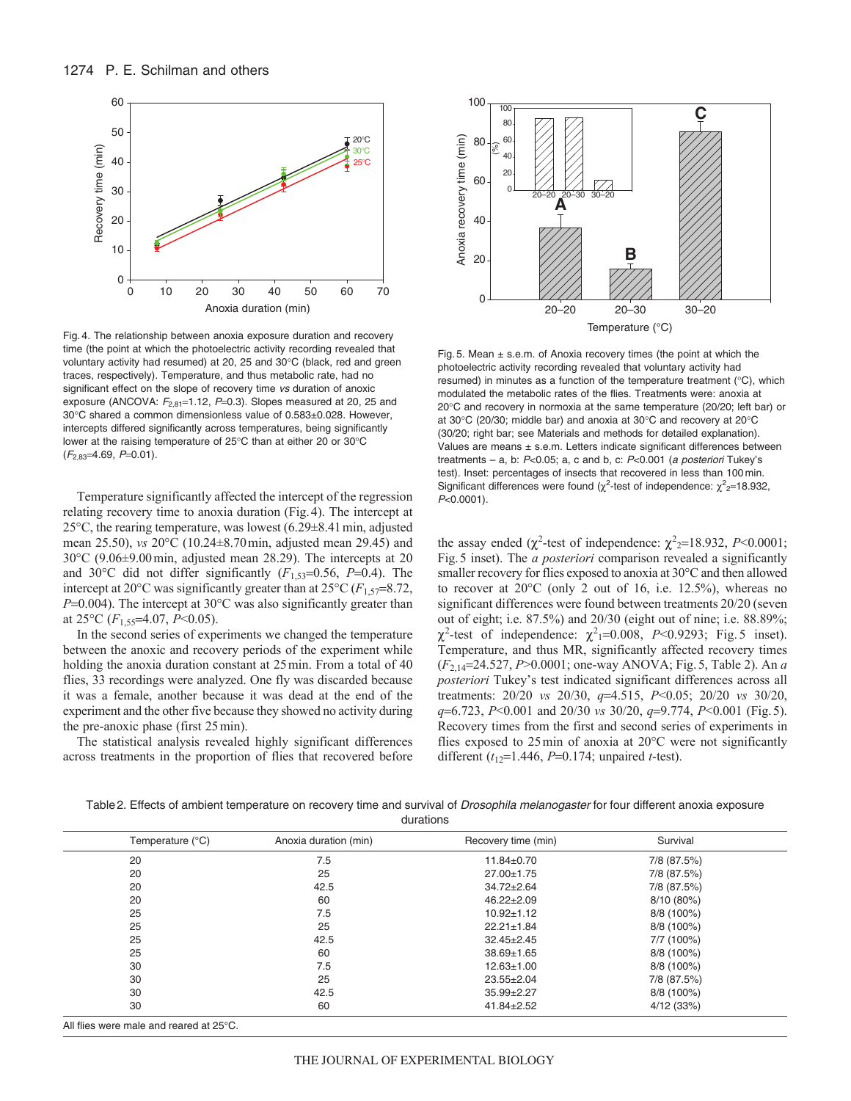

Fig. 4. The relationship between anoxia exposure duration and recovery time (the point at which the photoelectric activity recording revealed that voluntary activity had resumed) at 20, 25 and 30°C (black, red and green traces, respectively). Temperature, and thus metabolic rate, had no significant effect on the slope of recovery time vs duration of anoxic exposure (ANCOVA:  $F_{2,81}$ =1.12, P=0.3). Slopes measured at 20, 25 and 30°C shared a common dimensionless value of 0.583±0.028. However, intercepts differed significantly across temperatures, being significantly lower at the raising temperature of 25°C than at either 20 or 30°C  $(F_{2,83}=4.69, P=0.01).$ 

Temperature significantly affected the intercept of the regression relating recovery time to anoxia duration (Fig.4). The intercept at 25°C, the rearing temperature, was lowest (6.29±8.41min, adjusted mean 25.50), *vs* 20°C (10.24±8.70min, adjusted mean 29.45) and 30°C (9.06±9.00min, adjusted mean 28.29). The intercepts at 20 and 30°C did not differ significantly  $(F_{1,53}=0.56, P=0.4)$ . The intercept at 20 $^{\circ}$ C was significantly greater than at 25 $^{\circ}$ C ( $F_{1,57}$ =8.72, *P*=0.004). The intercept at 30°C was also significantly greater than at 25°C (*F*1,554.07, *P*<0.05).

In the second series of experiments we changed the temperature between the anoxic and recovery periods of the experiment while holding the anoxia duration constant at 25min. From a total of 40 flies, 33 recordings were analyzed. One fly was discarded because it was a female, another because it was dead at the end of the experiment and the other five because they showed no activity during the pre-anoxic phase (first 25min).

The statistical analysis revealed highly significant differences across treatments in the proportion of flies that recovered before



Fig. 5. Mean  $\pm$  s.e.m. of Anoxia recovery times (the point at which the photoelectric activity recording revealed that voluntary activity had resumed) in minutes as a function of the temperature treatment (°C), which modulated the metabolic rates of the flies. Treatments were: anoxia at 20°C and recovery in normoxia at the same temperature (20/20; left bar) or at 30°C (20/30; middle bar) and anoxia at 30°C and recovery at 20°C (30/20; right bar; see Materials and methods for detailed explanation). Values are means  $\pm$  s.e.m. Letters indicate significant differences between treatments – a, b:  $P<0.05$ ; a, c and b, c:  $P<0.001$  (a posteriori Tukey's test). Inset: percentages of insects that recovered in less than 100 min. Significant differences were found ( $\chi^2$ -test of independence:  $\chi^2$ <sub>2</sub>=18.932,  $P<0.0001$ ).

the assay ended ( $\chi^2$ -test of independence:  $\chi^2$ <sub>2</sub>=18.932, *P*<0.0001; Fig.5 inset). The *a posteriori* comparison revealed a significantly smaller recovery for flies exposed to anoxia at 30°C and then allowed to recover at 20°C (only 2 out of 16, i.e. 12.5%), whereas no significant differences were found between treatments 20/20 (seven out of eight; i.e. 87.5%) and 20/30 (eight out of nine; i.e. 88.89%;  $\chi^2$ -test of independence:  $\chi^2$ <sub>1</sub>=0.008, *P*<0.9293; Fig. 5 inset). Temperature, and thus MR, significantly affected recovery times (*F*2,1424.527, *P*>0.0001; one-way ANOVA; Fig.5, Table 2). An *a posteriori* Tukey's test indicated significant differences across all treatments: 20/20 *vs* 20/30, *q*4.515, *P*<0.05; 20/20 *vs* 30/20, *q*=6.723, *P*<0.001 and 20/30 *vs* 30/20, *q*=9.774, *P*<0.001 (Fig. 5). Recovery times from the first and second series of experiments in flies exposed to 25min of anoxia at 20°C were not significantly different  $(t_{12}=1.446, P=0.174$ ; unpaired *t*-test).

| Table 2. Effects of ambient temperature on recovery time and survival of Drosophila melanogaster for four different anoxia exposure |
|-------------------------------------------------------------------------------------------------------------------------------------|
| durations                                                                                                                           |

| Temperature (°C) | Anoxia duration (min) | Recovery time (min) | Survival    |
|------------------|-----------------------|---------------------|-------------|
| 20               | 7.5                   | $11.84 \pm 0.70$    | 7/8 (87.5%) |
| 20               | 25                    | 27.00±1.75          | 7/8 (87.5%) |
| 20               | 42.5                  | $34.72 \pm 2.64$    | 7/8 (87.5%) |
| 20               | 60                    | $46.22 \pm 2.09$    | 8/10 (80%)  |
| 25               | 7.5                   | $10.92 \pm 1.12$    | 8/8 (100%)  |
| 25               | 25                    | $22.21 \pm 1.84$    | 8/8 (100%)  |
| 25               | 42.5                  | $32.45 \pm 2.45$    | 7/7 (100%)  |
| 25               | 60                    | $38.69 \pm 1.65$    | 8/8 (100%)  |
| 30               | 7.5                   | $12.63 \pm 1.00$    | 8/8 (100%)  |
| 30               | 25                    | $23.55 \pm 2.04$    | 7/8 (87.5%) |
| 30               | 42.5                  | $35.99 \pm 2.27$    | 8/8 (100%)  |
| 30               | 60                    | $41.84 \pm 2.52$    | 4/12(33%)   |

All flies were male and reared at 25°C.